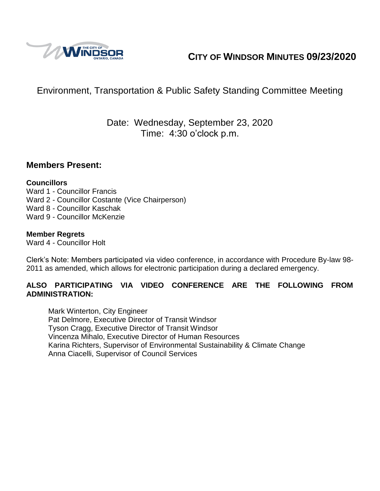

# **CITY OF WINDSOR MINUTES 09/23/2020**

# Environment, Transportation & Public Safety Standing Committee Meeting

## Date: Wednesday, September 23, 2020 Time: 4:30 o'clock p.m.

#### **Members Present:**

#### **Councillors**

Ward 1 - Councillor Francis Ward 2 - Councillor Costante (Vice Chairperson) Ward 8 - Councillor Kaschak Ward 9 - Councillor McKenzie

#### **Member Regrets**

Ward 4 - Councillor Holt

Clerk's Note: Members participated via video conference, in accordance with Procedure By-law 98- 2011 as amended, which allows for electronic participation during a declared emergency.

#### **ALSO PARTICIPATING VIA VIDEO CONFERENCE ARE THE FOLLOWING FROM ADMINISTRATION:**

Mark Winterton, City Engineer Pat Delmore, Executive Director of Transit Windsor Tyson Cragg, Executive Director of Transit Windsor Vincenza Mihalo, Executive Director of Human Resources Karina Richters, Supervisor of Environmental Sustainability & Climate Change Anna Ciacelli, Supervisor of Council Services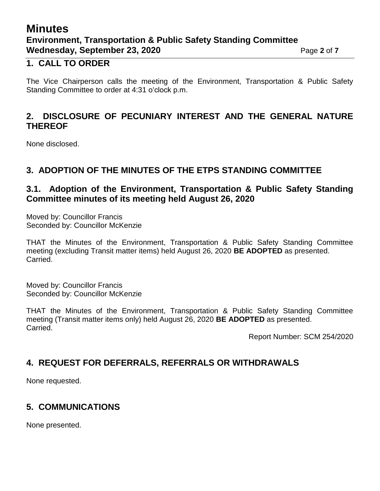## **Minutes Environment, Transportation & Public Safety Standing Committee Wednesday, September 23, 2020** Page 2 of 7

#### **1. CALL TO ORDER**

The Vice Chairperson calls the meeting of the Environment, Transportation & Public Safety Standing Committee to order at 4:31 o'clock p.m.

### **2. DISCLOSURE OF PECUNIARY INTEREST AND THE GENERAL NATURE THEREOF**

None disclosed.

#### **3. ADOPTION OF THE MINUTES OF THE ETPS STANDING COMMITTEE**

#### **3.1. Adoption of the Environment, Transportation & Public Safety Standing Committee minutes of its meeting held August 26, 2020**

Moved by: Councillor Francis Seconded by: Councillor McKenzie

THAT the Minutes of the Environment, Transportation & Public Safety Standing Committee meeting (excluding Transit matter items) held August 26, 2020 **BE ADOPTED** as presented. Carried.

Moved by: Councillor Francis Seconded by: Councillor McKenzie

THAT the Minutes of the Environment, Transportation & Public Safety Standing Committee meeting (Transit matter items only) held August 26, 2020 **BE ADOPTED** as presented. Carried.

Report Number: SCM 254/2020

## **4. REQUEST FOR DEFERRALS, REFERRALS OR WITHDRAWALS**

None requested.

## **5. COMMUNICATIONS**

None presented.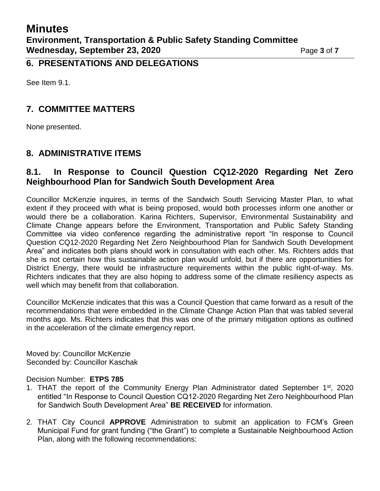**6. PRESENTATIONS AND DELEGATIONS**

See Item 9.1.

### **7. COMMITTEE MATTERS**

None presented.

### **8. ADMINISTRATIVE ITEMS**

### **8.1. In Response to Council Question CQ12-2020 Regarding Net Zero Neighbourhood Plan for Sandwich South Development Area**

Councillor McKenzie inquires, in terms of the Sandwich South Servicing Master Plan, to what extent if they proceed with what is being proposed, would both processes inform one another or would there be a collaboration. Karina Richters, Supervisor, Environmental Sustainability and Climate Change appears before the Environment, Transportation and Public Safety Standing Committee via video conference regarding the administrative report "In response to Council Question CQ12-2020 Regarding Net Zero Neighbourhood Plan for Sandwich South Development Area" and indicates both plans should work in consultation with each other. Ms. Richters adds that she is not certain how this sustainable action plan would unfold, but if there are opportunities for District Energy, there would be infrastructure requirements within the public right-of-way. Ms. Richters indicates that they are also hoping to address some of the climate resiliency aspects as well which may benefit from that collaboration.

Councillor McKenzie indicates that this was a Council Question that came forward as a result of the recommendations that were embedded in the Climate Change Action Plan that was tabled several months ago. Ms. Richters indicates that this was one of the primary mitigation options as outlined in the acceleration of the climate emergency report.

Moved by: Councillor McKenzie Seconded by: Councillor Kaschak

#### Decision Number: **ETPS 785**

- 1. THAT the report of the Community Energy Plan Administrator dated September 1<sup>st</sup>, 2020 entitled "In Response to Council Question CQ12-2020 Regarding Net Zero Neighbourhood Plan for Sandwich South Development Area" **BE RECEIVED** for information.
- 2. THAT City Council **APPROVE** Administration to submit an application to FCM's Green Municipal Fund for grant funding ("the Grant") to complete a Sustainable Neighbourhood Action Plan, along with the following recommendations: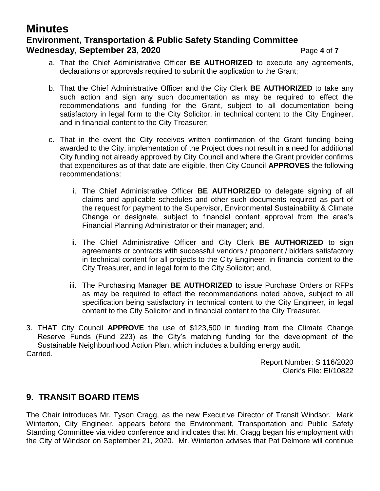## **Minutes Environment, Transportation & Public Safety Standing Committee Wednesday, September 23, 2020** Page 4 of 7

- a. That the Chief Administrative Officer **BE AUTHORIZED** to execute any agreements, declarations or approvals required to submit the application to the Grant;
- b. That the Chief Administrative Officer and the City Clerk **BE AUTHORIZED** to take any such action and sign any such documentation as may be required to effect the recommendations and funding for the Grant, subject to all documentation being satisfactory in legal form to the City Solicitor, in technical content to the City Engineer, and in financial content to the City Treasurer;
- c. That in the event the City receives written confirmation of the Grant funding being awarded to the City, implementation of the Project does not result in a need for additional City funding not already approved by City Council and where the Grant provider confirms that expenditures as of that date are eligible, then City Council **APPROVES** the following recommendations:
	- i. The Chief Administrative Officer **BE AUTHORIZED** to delegate signing of all claims and applicable schedules and other such documents required as part of the request for payment to the Supervisor, Environmental Sustainability & Climate Change or designate, subject to financial content approval from the area's Financial Planning Administrator or their manager; and,
	- ii. The Chief Administrative Officer and City Clerk **BE AUTHORIZED** to sign agreements or contracts with successful vendors / proponent / bidders satisfactory in technical content for all projects to the City Engineer, in financial content to the City Treasurer, and in legal form to the City Solicitor; and,
	- iii. The Purchasing Manager **BE AUTHORIZED** to issue Purchase Orders or RFPs as may be required to effect the recommendations noted above, subject to all specification being satisfactory in technical content to the City Engineer, in legal content to the City Solicitor and in financial content to the City Treasurer.
- 3. THAT City Council **APPROVE** the use of \$123,500 in funding from the Climate Change Reserve Funds (Fund 223) as the City's matching funding for the development of the Sustainable Neighbourhood Action Plan, which includes a building energy audit. Carried.

Report Number: S 116/2020 Clerk's File: EI/10822

#### **9. TRANSIT BOARD ITEMS**

The Chair introduces Mr. Tyson Cragg, as the new Executive Director of Transit Windsor. Mark Winterton, City Engineer, appears before the Environment, Transportation and Public Safety Standing Committee via video conference and indicates that Mr. Cragg began his employment with the City of Windsor on September 21, 2020. Mr. Winterton advises that Pat Delmore will continue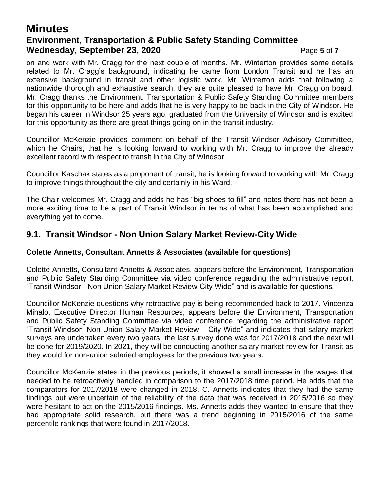## **Minutes Environment, Transportation & Public Safety Standing Committee Wednesday, September 23, 2020** Page 5 of 7

on and work with Mr. Cragg for the next couple of months. Mr. Winterton provides some details related to Mr. Cragg's background, indicating he came from London Transit and he has an extensive background in transit and other logistic work. Mr. Winterton adds that following a nationwide thorough and exhaustive search, they are quite pleased to have Mr. Cragg on board. Mr. Cragg thanks the Environment, Transportation & Public Safety Standing Committee members for this opportunity to be here and adds that he is very happy to be back in the City of Windsor. He began his career in Windsor 25 years ago, graduated from the University of Windsor and is excited for this opportunity as there are great things going on in the transit industry.

Councillor McKenzie provides comment on behalf of the Transit Windsor Advisory Committee, which he Chairs, that he is looking forward to working with Mr. Cragg to improve the already excellent record with respect to transit in the City of Windsor.

Councillor Kaschak states as a proponent of transit, he is looking forward to working with Mr. Cragg to improve things throughout the city and certainly in his Ward.

The Chair welcomes Mr. Cragg and adds he has "big shoes to fill" and notes there has not been a more exciting time to be a part of Transit Windsor in terms of what has been accomplished and everything yet to come.

#### **9.1. Transit Windsor - Non Union Salary Market Review-City Wide**

#### **Colette Annetts, Consultant Annetts & Associates (available for questions)**

Colette Annetts, Consultant Annetts & Associates, appears before the Environment, Transportation and Public Safety Standing Committee via video conference regarding the administrative report, "Transit Windsor - Non Union Salary Market Review-City Wide" and is available for questions.

Councillor McKenzie questions why retroactive pay is being recommended back to 2017. Vincenza Mihalo, Executive Director Human Resources, appears before the Environment, Transportation and Public Safety Standing Committee via video conference regarding the administrative report "Transit Windsor- Non Union Salary Market Review – City Wide" and indicates that salary market surveys are undertaken every two years, the last survey done was for 2017/2018 and the next will be done for 2019/2020. In 2021, they will be conducting another salary market review for Transit as they would for non-union salaried employees for the previous two years.

Councillor McKenzie states in the previous periods, it showed a small increase in the wages that needed to be retroactively handled in comparison to the 2017/2018 time period. He adds that the comparators for 2017/2018 were changed in 2018. C. Annetts indicates that they had the same findings but were uncertain of the reliability of the data that was received in 2015/2016 so they were hesitant to act on the 2015/2016 findings. Ms. Annetts adds they wanted to ensure that they had appropriate solid research, but there was a trend beginning in 2015/2016 of the same percentile rankings that were found in 2017/2018.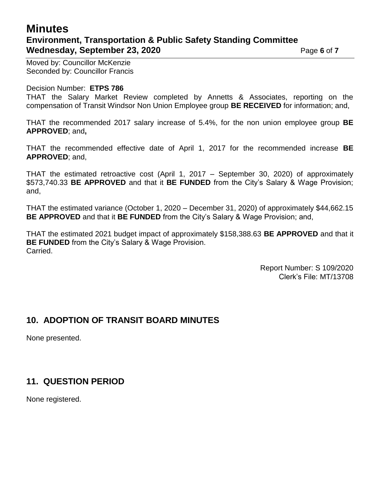## **Minutes Environment, Transportation & Public Safety Standing Committee Wednesday, September 23, 2020** Page 6 of 7

Moved by: Councillor McKenzie Seconded by: Councillor Francis

#### Decision Number: **ETPS 786**

THAT the Salary Market Review completed by Annetts & Associates, reporting on the compensation of Transit Windsor Non Union Employee group **BE RECEIVED** for information; and,

THAT the recommended 2017 salary increase of 5.4%, for the non union employee group **BE APPROVED**; and**,**

THAT the recommended effective date of April 1, 2017 for the recommended increase **BE APPROVED**; and,

THAT the estimated retroactive cost (April 1, 2017 – September 30, 2020) of approximately \$573,740.33 **BE APPROVED** and that it **BE FUNDED** from the City's Salary & Wage Provision; and,

THAT the estimated variance (October 1, 2020 – December 31, 2020) of approximately \$44,662.15 **BE APPROVED** and that it **BE FUNDED** from the City's Salary & Wage Provision; and,

THAT the estimated 2021 budget impact of approximately \$158,388.63 **BE APPROVED** and that it **BE FUNDED** from the City's Salary & Wage Provision. Carried.

> Report Number: S 109/2020 Clerk's File: MT/13708

## **10. ADOPTION OF TRANSIT BOARD MINUTES**

None presented.

## **11. QUESTION PERIOD**

None registered.